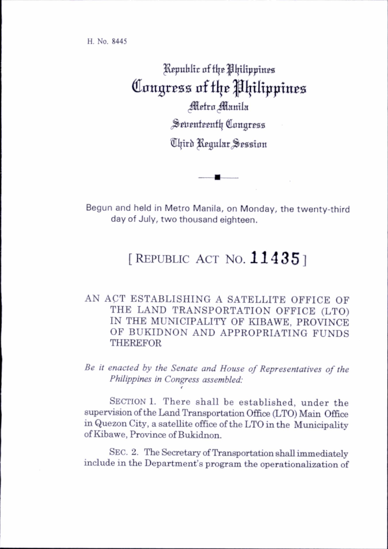H. No. 8445

Republic of the Philippines Congress of the Philippines Metro Manila Seventeenth Congress Third Regular Session

Begun and held in Metro Manila, on Monday, the twenty-third day of July, two thousand eighteen.

## [REPUBLIC ACT NO.  $11435$ ]

## AN ACT ESTABLISHING A SATELLITE OFFICE OF THE LAND TRANSPORTATION OFFICE (LTO) IN THE MUNICIPALITY OF KIBAWE, PROVINCE OF BUKIDNON AND APPROPRIATING FUNDS THEREFOR

Be it enacted by the Senate and House of Representatives of the Philippines in Congress assembled: t

SECTION 1. There shall be established, under the supervision of the Land Transportation Office (LTO) Main Office in Quezon City, a satellite office of the LTO in the Municipality of Kibawe, Province of Bukidnon.

SEC. 2. The Secretary of Transportation shall immediately include in the Department's program the operationalization of